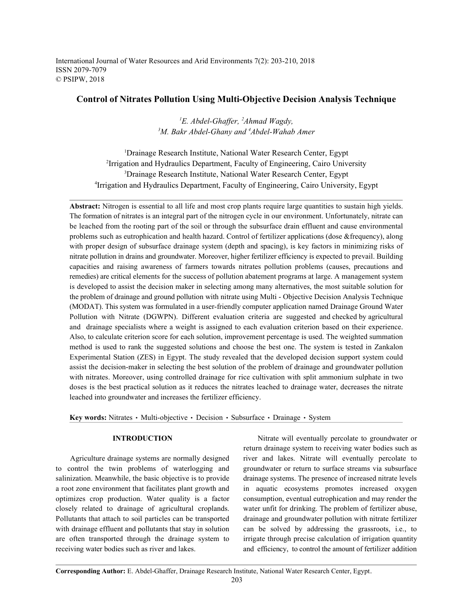International Journal of Water Resources and Arid Environments 7(2): 203-210, 2018 ISSN 2079-7079 © PSIPW, 2018

## **Control of Nitrates Pollution Using Multi-Objective Decision Analysis Technique**

<sup>1</sup>E. Abdel-Ghaffer, <sup>2</sup>Ahmad Wagdy, <sup>3</sup>M. Bakr Abdel-Ghany and <sup>4</sup>Abdel-Wahab Amer

<sup>1</sup>Drainage Research Institute, National Water Research Center, Egypt <sup>2</sup>Irrigation and Hydraulics Department, Faculty of Engineering, Cairo University <sup>3</sup>Drainage Research Institute, National Water Research Center, Egypt <sup>4</sup>Irrigation and Hydraulics Department, Faculty of Engineering, Cairo University, Egypt

**Abstract:** Nitrogen is essential to all life and most crop plants require large quantities to sustain high yields. The formation of nitrates is an integral part of the nitrogen cycle in our environment. Unfortunately, nitrate can be leached from the rooting part of the soil or through the subsurface drain effluent and cause environmental problems such as eutrophication and health hazard. Control of fertilizer applications (dose &frequency), along with proper design of subsurface drainage system (depth and spacing), is key factors in minimizing risks of nitrate pollution in drains and groundwater. Moreover, higher fertilizer efficiency is expected to prevail. Building capacities and raising awareness of farmers towards nitrates pollution problems (causes, precautions and remedies) are critical elements for the success of pollution abatement programs at large. A management system is developed to assist the decision maker in selecting among many alternatives, the most suitable solution for the problem of drainage and ground pollution with nitrate using Multi - Objective Decision Analysis Technique (MODAT). This system was formulated in a user-friendly computer application named Drainage Ground Water Pollution with Nitrate (DGWPN). Different evaluation criteria are suggested and checked by agricultural and drainage specialists where a weight is assigned to each evaluation criterion based on their experience. Also, to calculate criterion score for each solution, improvement percentage is used. The weighted summation method is used to rank the suggested solutions and choose the best one. The system is tested in Zankalon Experimental Station (ZES) in Egypt. The study revealed that the developed decision support system could assist the decision-maker in selecting the best solution of the problem of drainage and groundwater pollution with nitrates. Moreover, using controlled drainage for rice cultivation with split ammonium sulphate in two doses is the best practical solution as it reduces the nitrates leached to drainage water, decreases the nitrate leached into groundwater and increases the fertilizer efficiency.

Key words: Nitrates · Multi-objective · Decision · Subsurface · Drainage · System

to control the twin problems of waterlogging and groundwater or return to surface streams via subsurface salinization. Meanwhile, the basic objective is to provide drainage systems. The presence of increased nitrate levels a root zone environment that facilitates plant growth and in aquatic ecosystems promotes increased oxygen optimizes crop production. Water quality is a factor consumption, eventual eutrophication and may render the closely related to drainage of agricultural croplands. water unfit for drinking. The problem of fertilizer abuse, Pollutants that attach to soil particles can be transported drainage and groundwater pollution with nitrate fertilizer with drainage effluent and pollutants that stay in solution can be solved by addressing the grassroots, i.e., to are often transported through the drainage system to irrigate through precise calculation of irrigation quantity receiving water bodies such as river and lakes. and efficiency, to control the amount of fertilizer addition

**INTRODUCTION** Nitrate will eventually percolate to groundwater or Agriculture drainage systems are normally designed river and lakes. Nitrate will eventually percolate to return drainage system to receiving water bodies such as

**Corresponding Author:** E. Abdel-Ghaffer, Drainage Research Institute, National Water Research Center, Egypt.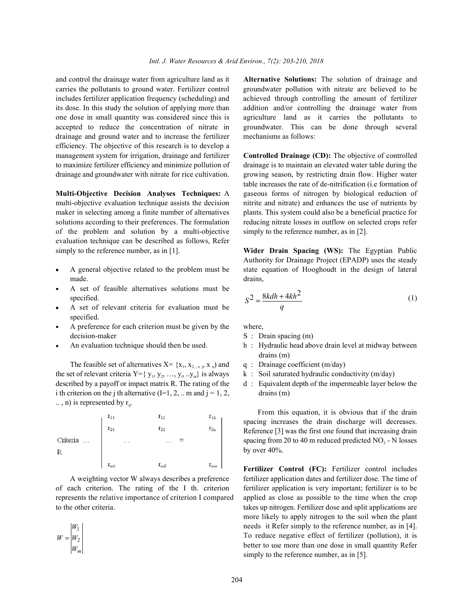and control the drainage water from agriculture land as it **Alternative Solutions:** The solution of drainage and carries the pollutants to ground water. Fertilizer control groundwater pollution with nitrate are believed to be includes fertilizer application frequency (scheduling) and achieved through controlling the amount of fertilizer its dose. In this study the solution of applying more than addition and/or controlling the drainage water from one dose in small quantity was considered since this is agriculture land as it carries the pollutants to accepted to reduce the concentration of nitrate in groundwater. This can be done through several drainage and ground water and to increase the fertilizer mechanisms as follows: efficiency. The objective of this research is to develop a management system for irrigation, drainage and fertilizer **Controlled Drainage (CD):** The objective of controlled to maximize fertilizer efficiency and minimize pollution of drainage is to maintain an elevated water table during the

multi-objective evaluation technique assists the decision nitrite and nitrate) and enhances the use of nutrients by maker in selecting among a finite number of alternatives plants. This system could also be a beneficial practice for solutions according to their preferences. The formulation reducing nitrate losses in outflow on selected crops refer of the problem and solution by a multi-objective simply to the reference number, as in [2]. evaluation technique can be described as follows, Refer simply to the reference number, as in [1]. **Wider Drain Spacing (WS):** The Egyptian Public

- made. drains,
- A set of feasible alternatives solutions must be
- A set of relevant criteria for evaluation must be specified.
- A preference for each criterion must be given by the where, decision-maker S : Drain spacing (m)
- 

The feasible set of alternatives  $X = \{x_1, x_2, x_3, x_4\}$  and q : Drainage coefficient (m/day) the set of relevant criteria  $Y = \{ y_1, y_2, ..., y_i, ..., y_n \}$  is always k : Soil saturated hydraulic conductivity (m/day) described by a payoff or impact matrix R. The rating of the d : Equivalent depth of the impermeable layer below the i th criterion on the j th alternative  $(I=1, 2, ...$  m and  $j=1, 2,$  drains  $(m)$  $\ldots$ , n) is represented by  $r_{ii}$ .



of each criterion. The rating of the I th. criterion fertilizer application is very important; fertilizer is to be represents the relative importance of criterion I compared applied as close as possible to the time when the crop

$$
W = \begin{vmatrix} W_1 \\ W_2 \\ W_m \end{vmatrix}
$$

drainage and groundwater with nitrate for rice cultivation. growing season, by restricting drain flow. Higher water **Multi-Objective Decision Analyses Techniques:** A gaseous forms of nitrogen by biological reduction of table increases the rate of de-nitrification (i.e formation of

A general objective related to the problem must be state equation of Hooghoudt in the design of lateral Authority for Drainage Project (EPADP) uses the steady

$$
S2 = \frac{8kdh + 4kh^2}{q}
$$
 (1)  
A set of relevant criteria for evaluation must be

- 
- An evaluation technique should then be used. h : Hydraulic head above drain level at midway between drains (m)
	-
	-
	-

From this equation, it is obvious that if the drain spacing increases the drain discharge will decreases. Reference [3] was the first one found that increasing drain spacing from 20 to 40 m reduced predicted  $NO<sub>3</sub> - N$  losses by over 40%.

A weighting vector W always describes a preference fertilizer application dates and fertilizer dose. The time of to the other criteria. takes up nitrogen. Fertilizer dose and split applications are needs it Refer simply to the reference number, as in [4]. **Fertilizer Control (FC):** Fertilizer control includes more likely to apply nitrogen to the soil when the plant To reduce negative effect of fertilizer (pollution), it is better to use more than one dose in small quantity Refer simply to the reference number, as in [5].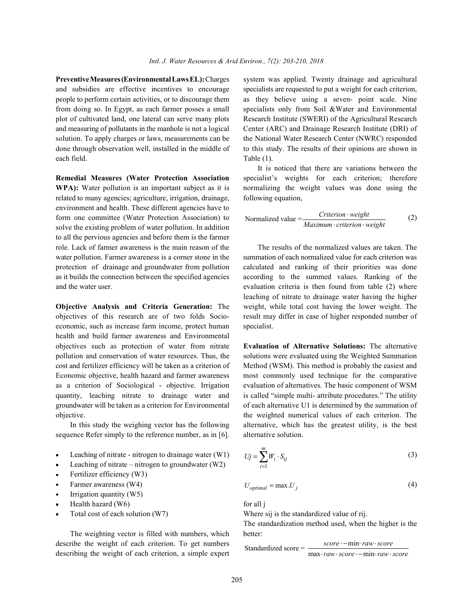and subsidies are effective incentives to encourage specialists are requested to put a weight for each criterion, people to perform certain activities, or to discourage them as they believe using a seven- point scale. Nine from doing so. In Egypt, as each farmer posses a small specialists only from Soil &Water and Environmental plot of cultivated land, one lateral can serve many plots Research Institute (SWERI) of the Agricultural Research and measuring of pollutants in the manhole is not a logical Center (ARC) and Drainage Research Institute (DRI) of solution. To apply charges or laws, measurements can be the National Water Research Center (NWRC) responded done through observation well, installed in the middle of to this study. The results of their opinions are shown in each field. Table (1).

**WPA):** Water pollution is an important subject as it is normalizing the weight values was done using the related to many agencies; agriculture, irrigation, drainage, following equation, environment and health. These different agencies have to form one committee (Water Protection Association) to solve the existing problem of water pollution. In addition to all the pervious agencies and before them is the farmer role. Lack of farmer awareness is the main reason of the The results of the normalized values are taken. The water pollution. Farmer awareness is a corner stone in the summation of each normalized value for each criterion was protection of drainage and groundwater from pollution calculated and ranking of their priorities was done as it builds the connection between the specified agencies according to the summed values. Ranking of the and the water user. evaluation criteria is then found from table (2) where

objectives of this research are of two folds Socio- result may differ in case of higher responded number of economic, such as increase farm income, protect human specialist. health and build farmer awareness and Environmental objectives such as protection of water from nitrate **Evaluation of Alternative Solutions:** The alternative pollution and conservation of water resources. Thus, the solutions were evaluated using the Weighted Summation cost and fertilizer efficiency will be taken as a criterion of Method (WSM). This method is probably the easiest and Economic objective, health hazard and farmer awareness most commonly used technique for the comparative as a criterion of Sociological - objective. Irrigation evaluation of alternatives. The basic component of WSM quantity, leaching nitrate to drainage water and is called "simple multi- attribute procedures." The utility groundwater will be taken as a criterion for Environmental of each alternative U1 is determined by the summation of objective. the weighted numerical values of each criterion. The

sequence Refer simply to the reference number, as in [6]. alternative solution.

- Leaching of nitrate nitrogen to drainage water  $(W1)$
- Leaching of nitrate nitrogen to groundwater (W2)
- Fertilizer efficiency (W3)
- Farmer awareness (W4)  $U_{op}$
- Irrigation quantity (W5)
- Health hazard  $(W6)$  for all j
- 

The weighting vector is filled with numbers, which better: describe the weight of each criterion. To get numbers describing the weight of each criterion, a simple expert

**Preventive Measures (Environmental Laws EL):** Charges system was applied. Twenty drainage and agricultural

**Remedial Measures (Water Protection Association** specialist's weights for each criterion; therefore It is noticed that there are variations between the

$$
Normalized value = \frac{Criterion \cdot weight}{Maximum \cdot criterion \cdot weight}
$$
 (2)

**Objective Analysis and Criteria Generation:** The weight, while total cost having the lower weight. The leaching of nitrate to drainage water having the higher

In this study the weighing vector has the following alternative, which has the greatest utility, is the best

$$
Uj = \sum_{i=1}^{m} W_i \cdot S_{ij}
$$
 (3)

$$
U_{optimal} = \max U_j \tag{4}
$$

Total cost of each solution (W7) Where sij is the standardized value of rij.

The standardization method used, when the higher is the

Standardized score =  $\frac{score - min \cdot raw \cdot score}{max \cdot raw \cdot score - min \cdot raw \cdot score}$ *score* · − min· *raw · score*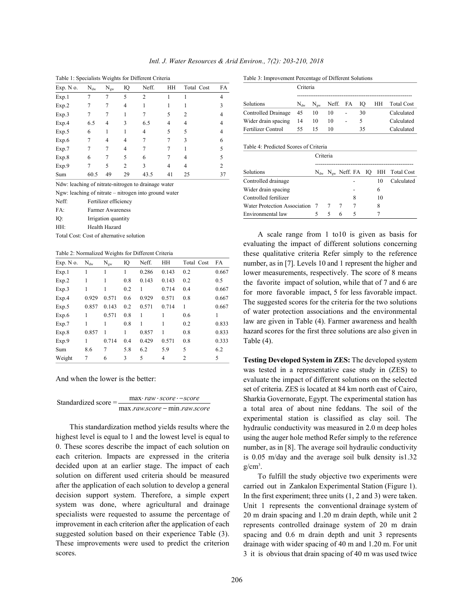|  |  | Intl. J. Water Resources & Arid Environ., 7(2): 203-210, 2018 |  |  |  |  |  |  |
|--|--|---------------------------------------------------------------|--|--|--|--|--|--|
|--|--|---------------------------------------------------------------|--|--|--|--|--|--|

|           |          | $\check{ }$ |                |                |    |                |    |
|-----------|----------|-------------|----------------|----------------|----|----------------|----|
| Exp. N o. | $N_{dw}$ | $N_{gw}$    | IQ             | Neff.          | HH | Total Cost     | FA |
| Exp.1     | 7        | 7           | 5              | $\mathfrak{2}$ |    |                | 4  |
| Exp.2     | 7        | 7           | 4              | 1              |    |                | 3  |
| Exp.3     |          |             |                |                | 5  | $\overline{c}$ | 4  |
| Exp.4     | 6.5      | 4           | 3              | 6.5            | 4  | 4              | 4  |
| Exp.5     | 6        | 1           | 1              | 4              | 5  | 5              | 4  |
| Exp.6     | 7        | 4           | 4              | 7              | 7  | 3              | 6  |
| Exp.7     | 7        | 7           | 4              | 7              | 7  |                | 5  |
| Exp.8     | 6        |             | 5              | 6              |    | 4              | 5  |
| Exp.9     |          | 5           | $\overline{2}$ | 3              | 4  | 4              | 2  |
| Sum       | 60.5     | 49          | 29             | 43.5           | 41 | 25             | 37 |

Ndw: leaching of nitrate-nitrogen to drainage water

Ngw: leaching of nitrate – nitrogen into ground water

Neff: Fertilizer efficiency

FA: Farmer Awareness

IQ: Irrigation quantity

HH: Health Hazard

Total Cost: Cost of alternative solution

Table 2: Normalized Weights for Different Criteria

| Exp. No. | $N_{dw}$ | $N_{gw}$ | IQ  | Neff. | HH    | Total Cost | FA    |
|----------|----------|----------|-----|-------|-------|------------|-------|
| Exp.1    | 1        | 1        | 1   | 0.286 | 0.143 | 0.2        | 0.667 |
| Exp.2    | 1        | 1        | 0.8 | 0.143 | 0.143 | 0.2        | 0.5   |
| Exp.3    | 1        | 1        | 0.2 | 1     | 0.714 | 0.4        | 0.667 |
| Exp.4    | 0.929    | 0.571    | 0.6 | 0.929 | 0.571 | 0.8        | 0.667 |
| Exp.5    | 0.857    | 0.143    | 0.2 | 0.571 | 0.714 | 1          | 0.667 |
| Exp.6    | 1        | 0.571    | 0.8 | 1     | 1     | 0.6        | 1     |
| Exp.7    | 1        | 1        | 0.8 | 1     | 1     | 0.2        | 0.833 |
| Exp.8    | 0.857    | 1        | 1   | 0.857 | 1     | 0.8        | 0.833 |
| Exp.9    |          | 0.714    | 0.4 | 0.429 | 0.571 | 0.8        | 0.333 |
| Sum      | 8.6      | 7        | 5.8 | 6.2   | 5.9   | 5          | 6.2   |
| Weight   | 7        | 6        | 3   | 5     | 4     | 2          | 5     |

And when the lower is the better:

| Standardized score $=$ | $max$ · raw · score · $-score$ |
|------------------------|--------------------------------|
|                        | max.raw.score – min.raw.score  |

This standardization method yields results where the highest level is equal to 1 and the lowest level is equal to 0. These scores describe the impact of each solution on each criterion. Impacts are expressed in the criteria decided upon at an earlier stage. The impact of each solution on different used criteria should be measured after the application of each solution to develop a general decision support system. Therefore, a simple expert system was done, where agricultural and drainage specialists were requested to assume the percentage of improvement in each criterion after the application of each suggested solution based on their experience Table (3). These improvements were used to predict the criterion scores.

Table 1: Specialists Weights for Different Criteria Table 3: Improvement Percentage of Different Solutions

|                           | Criteria |    |                             |                          |    |  |               |
|---------------------------|----------|----|-----------------------------|--------------------------|----|--|---------------|
| Solutions                 | $N_{dw}$ |    | $N_{\text{ow}}$ Neff. FA IO |                          |    |  | HH Total Cost |
| Controlled Drainage 45    |          | 10 | -10                         | $\overline{\phantom{0}}$ | 30 |  | Calculated    |
| Wider drain spacing       | - 14     | 10 | 10                          |                          | 5  |  | Calculated    |
| <b>Fertilizer Control</b> | 55.      | 15 | 10                          |                          | 35 |  | Calculated    |

#### Table 4: Predicted Scores of Criteria

|                                | Criteria |   |   |   |  |    |                                             |
|--------------------------------|----------|---|---|---|--|----|---------------------------------------------|
| Solutions                      |          |   |   |   |  |    | $N_{dw}$ $N_{ew}$ Neff. FA IQ HH Total Cost |
| Controlled drainage            |          |   |   |   |  | 10 | Calculated                                  |
| Wider drain spacing            |          |   |   |   |  | 6  |                                             |
| Controlled fertilizer          |          |   |   | 8 |  | 10 |                                             |
| Water Protection Association 7 |          |   |   |   |  | 8  |                                             |
| Environmental law              |          | 5 | 6 | 5 |  |    |                                             |

A scale range from 1 to10 is given as basis for evaluating the impact of different solutions concerning these qualitative criteria Refer simply to the reference number, as in [7]. Levels 10 and 1 represent the higher and lower measurements, respectively. The score of 8 means the favorite impact of solution, while that of 7 and 6 are for more favorable impact, 5 for less favorable impact. The suggested scores for the criteria for the two solutions of water protection associations and the environmental law are given in Table (4). Farmer awareness and health hazard scores for the first three solutions are also given in Table (4).

**Testing Developed System in ZES:** The developed system was tested in a representative case study in (ZES) to evaluate the impact of different solutions on the selected set of criteria. ZES is located at 84 km north east of Cairo, Sharkia Governorate, Egypt. The experimental station has a total area of about nine feddans. The soil of the experimental station is classified as clay soil. The hydraulic conductivity was measured in 2.0 m deep holes using the auger hole method Refer simply to the reference number, as in [8]. The average soil hydraulic conductivity is 0.05 m/day and the average soil bulk density is1.32  $g/cm<sup>3</sup>$ .

To fulfill the study objective two experiments were carried out in Zankalon Experimental Station (Figure 1). In the first experiment; three units (1, 2 and 3) were taken. Unit 1 represents the conventional drainage system of 20 m drain spacing and 1.20 m drain depth, while unit 2 represents controlled drainage system of 20 m drain spacing and 0.6 m drain depth and unit 3 represents drainage with wider spacing of 40 m and 1.20 m. For unit 3 it is obvious that drain spacing of 40 m was used twice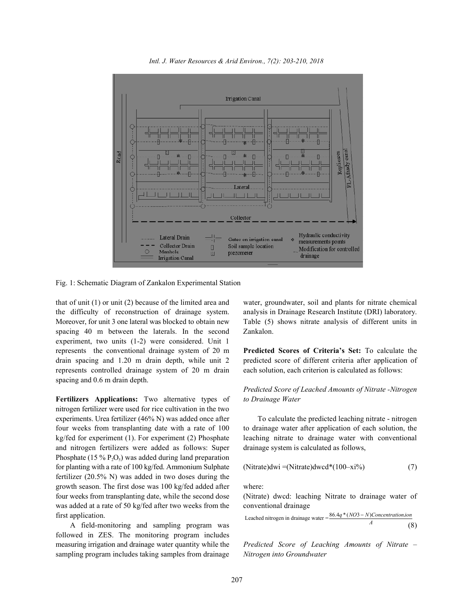*Intl. J. Water Resources & Arid Environ., 7(2): 203-210, 2018*



Fig. 1: Schematic Diagram of Zankalon Experimental Station

that of unit (1) or unit (2) because of the limited area and water, groundwater, soil and plants for nitrate chemical the difficulty of reconstruction of drainage system. analysis in Drainage Research Institute (DRI) laboratory. Moreover, for unit 3 one lateral was blocked to obtain new Table (5) shows nitrate analysis of different units in spacing 40 m between the laterals. In the second Zankalon. experiment, two units (1-2) were considered. Unit 1 represents the conventional drainage system of 20 m **Predicted Scores of Criteria's Set:** To calculate the drain spacing and 1.20 m drain depth, while unit 2 predicted score of different criteria after application of represents controlled drainage system of 20 m drain each solution, each criterion is calculated as follows: spacing and 0.6 m drain depth.

**Fertilizers Applications:** Two alternative types of *to Drainage Water* nitrogen fertilizer were used for rice cultivation in the two experiments. Urea fertilizer (46% N) was added once after To calculate the predicted leaching nitrate - nitrogen four weeks from transplanting date with a rate of 100 to drainage water after application of each solution, the kg/fed for experiment (1). For experiment (2) Phosphate leaching nitrate to drainage water with conventional and nitrogen fertilizers were added as follows: Super drainage system is calculated as follows, Phosphate (15 %  $P_2O_5$ ) was added during land preparation for planting with a rate of 100 kg/fed. Ammonium Sulphate fertilizer (20.5% N) was added in two doses during the growth season. The first dose was 100 kg/fed added after where: four weeks from transplanting date, while the second dose (Nitrate) dwcd: leaching Nitrate to drainage water of was added at a rate of 50 kg/fed after two weeks from the conventional drainage first application.

followed in ZES. The monitoring program includes measuring irrigation and drainage water quantity while the *Predicted Score of Leaching Amounts of Nitrate –* sampling program includes taking samples from drainage *Nitrogen into Groundwater*

# *Predicted Score of Leached Amounts of Nitrate -Nitrogen*

(Nitrate)
$$
dwi = (Nitrate)dwcd*(100-xi\%)
$$
 (7)

Leached nitrogen in drainage water <sup>=</sup> *A* 86.4q \* (NO3 – N)Concentration.ion A field-monitoring and sampling program was  $A = (8)$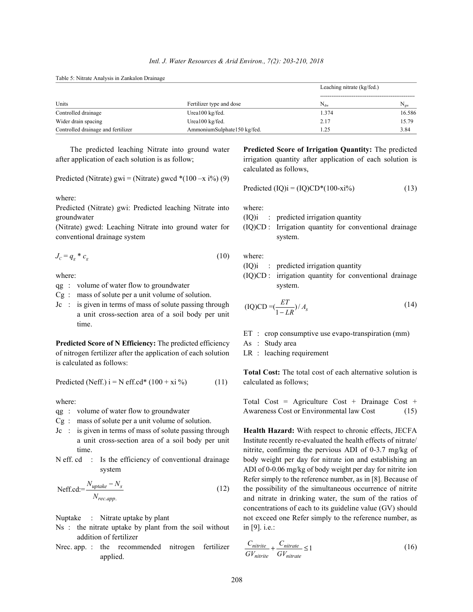Table 5: Nitrate Analysis in Zankalon Drainage

|                                    |                             | Leaching nitrate (kg/fed.) |          |  |
|------------------------------------|-----------------------------|----------------------------|----------|--|
| Units                              | Fertilizer type and dose    | $N_{dw}$                   | $N_{gw}$ |  |
| Controlled drainage                | Urea $100 \text{ kg/fed.}$  | 1.374                      | 16.586   |  |
| Wider drain spacing                | Urea100 kg/fed.             | 2.17                       | 15.79    |  |
| Controlled drainage and fertilizer | AmmoniumSulphate150 kg/fed. | l.25                       | 3.84     |  |

after application of each solution is as follow; irrigation quantity after application of each solution is

Predicted (Nitrate) gwi = (Nitrate) gwcd  $*(100 - x i\%)$  (9)

where:

Predicted (Nitrate) gwi: Predicted leaching Nitrate into where: groundwater (IQ)i : predicted irrigation quantity

(Nitrate) gwcd: Leaching Nitrate into ground water for (IQ)CD : Irrigation quantity for conventional drainage conventional drainage system system.

$$
J_c = q_s * c_s \tag{10} \qquad \text{where:}
$$

qg : volume of water flow to groundwater system.

- Cg : mass of solute per a unit volume of solution.
- $Jc$  : is given in terms of mass of solute passing through a unit cross-section area of a soil body per unit time.

**Predicted Score of N Efficiency:** The predicted efficiency As : Study area of nitrogen fertilizer after the application of each solution LR : leaching requirement is calculated as follows:

Predicted (Neff.) 
$$
i = N \text{ eff.cd} * (100 + xi \%)
$$
 (11) calculated as follows;

- qg : volume of water flow to groundwater
- Cg : mass of solute per a unit volume of solution.
- Jc : is given in terms of mass of solute passing through **Health Hazard:** With respect to chronic effects, JECFA
- 

$$
Neff:cd:=\frac{N_{update} - N_s}{N_{rec.app.}}
$$
\n(12)

- Ns : the nitrate uptake by plant from the soil without in [9]. i.e.: addition of fertilizer
- Nrec. app. : the recommended nitrogen fertilizer applied.

The predicted leaching Nitrate into ground water **Predicted Score of Irrigation Quantity:** The predicted calculated as follows,

$$
Predicted (IQ)i = (IQ)CD*(100-xi%)
$$
\n(13)

- (IQ)i : predicted irrigation quantity
- where: (IQ)CD : irrigation quantity for conventional drainage

$$
(IQ)CD = \left(\frac{ET}{1 - LR}\right) / A_s \tag{14}
$$

- ET : crop consumptive use evapo-transpiration (mm)
- 
- 

**Total Cost:** The total cost of each alternative solution is

where: Total Cost = Agriculture Cost + Drainage Cost +

a unit cross-section area of a soil body per unit Institute recently re-evaluated the health effects of nitrate/ time. nitrite, confirming the pervious ADI of 0-3.7 mg/kg of N eff. cd : Is the efficiency of conventional drainage body weight per day for nitrate ion and establishing an system ADI of 0-0.06 mg/kg of body weight per day for nitrite ion the possibility of the simultaneous occurrence of nitrite Nuptake : Nitrate uptake by plant not exceed one Refer simply to the reference number, as Refer simply to the reference number, as in [8]. Because of and nitrate in drinking water, the sum of the ratios of concentrations of each to its guideline value (GV) should

$$
\frac{C_{nitrite}}{GV_{nitrite}} + \frac{C_{nitrate}}{GV_{nitrate}} \le 1\tag{16}
$$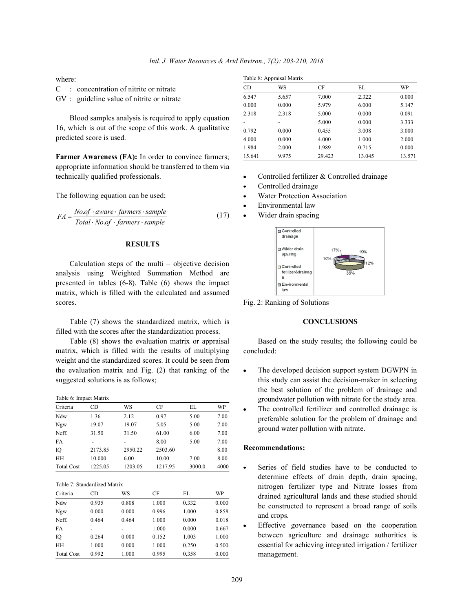where:

C : concentration of nitrite or nitrate

GV : guideline value of nitrite or nitrate

Blood samples analysis is required to apply equation 16, which is out of the scope of this work. A qualitative predicted score is used.

Farmer Awareness (FA): In order to convince farmers; appropriate information should be transferred to them via technically qualified professionals.

The following equation can be used;

$$
FA = \frac{No.of \cdot aware \cdot farmers \cdot sample}{Total \cdot No.of \cdot farmers \cdot sample}
$$
 (17)

## **RESULTS**

Calculation steps of the multi – objective decision analysis using Weighted Summation Method are presented in tables (6-8). Table (6) shows the impact matrix, which is filled with the calculated and assumed scores.

Table (7) shows the standardized matrix, which is filled with the scores after the standardization process.

Table (8) shows the evaluation matrix or appraisal matrix, which is filled with the results of multiplying weight and the standardized scores. It could be seen from the evaluation matrix and Fig. (2) that ranking of the suggested solutions is as follows;

Table 6: Impact Matrix

| Criteria          | CD      | WS      | CF      | EL.    | WP   |
|-------------------|---------|---------|---------|--------|------|
| Ndw               | 1.36    | 2.12    | 0.97    | 5.00   | 7.00 |
| Ngw               | 19.07   | 19.07   | 5.05    | 5.00   | 7.00 |
| Neff.             | 31.50   | 31.50   | 61.00   | 6.00   | 7.00 |
| FA                |         |         | 8.00    | 5.00   | 7.00 |
| IQ                | 2173.85 | 2950.22 | 2503.60 |        | 8.00 |
| HН                | 10.000  | 6.00    | 10.00   | 7.00   | 8.00 |
| <b>Total Cost</b> | 1225.05 | 1203.05 | 1217.95 | 3000.0 | 4000 |

Table 7: Standardized Matrix

| Criteria          | CD    | WS    | CF    | EL.   | WP    |
|-------------------|-------|-------|-------|-------|-------|
| Ndw               | 0.935 | 0.808 | 1.000 | 0.332 | 0.000 |
| Ngw               | 0.000 | 0.000 | 0.996 | 1.000 | 0.858 |
| Neff.             | 0.464 | 0.464 | 1.000 | 0.000 | 0.018 |
| FA                |       |       | 1.000 | 0.000 | 0.667 |
| IQ                | 0.264 | 0.000 | 0.152 | 1.003 | 1.000 |
| <b>HH</b>         | 1.000 | 0.000 | 1.000 | 0.250 | 0.500 |
| <b>Total Cost</b> | 0.992 | 1.000 | 0.995 | 0.358 | 0.000 |

|  | Table 8: Appraisal Matrix |  |
|--|---------------------------|--|
|  |                           |  |

|           | Table 8: Appraisal Matrix |        |        |        |
|-----------|---------------------------|--------|--------|--------|
| <b>CD</b> | WS                        | CF     | EL     | WP     |
| 6.547     | 5.657                     | 7.000  | 2.322  | 0.000  |
| 0.000     | 0.000                     | 5.979  | 6.000  | 5.147  |
| 2.318     | 2.318                     | 5.000  | 0.000  | 0.091  |
|           |                           | 5.000  | 0.000  | 3.333  |
| 0.792     | 0.000                     | 0.455  | 3.008  | 3.000  |
| 4.000     | 0.000                     | 4.000  | 1.000  | 2.000  |
| 1.984     | 2.000                     | 1.989  | 0.715  | 0.000  |
| 15.641    | 9.975                     | 29.423 | 13.045 | 13.571 |

- Controlled fertilizer & Controlled drainage
- Controlled drainage
- Water Protection Association
- Environmental law
- Wider drain spacing



Fig. 2: Ranking of Solutions

### **CONCLUSIONS**

Based on the study results; the following could be concluded:

- The developed decision support system DGWPN in this study can assist the decision-maker in selecting the best solution of the problem of drainage and groundwater pollution with nitrate for the study area.
- The controlled fertilizer and controlled drainage is  $\bullet$ preferable solution for the problem of drainage and ground water pollution with nitrate.

### **Recommendations:**

- Series of field studies have to be conducted to determine effects of drain depth, drain spacing, nitrogen fertilizer type and Nitrate losses from drained agricultural lands and these studied should be constructed to represent a broad range of soils and crops.
- Effective governance based on the cooperation between agriculture and drainage authorities is essential for achieving integrated irrigation / fertilizer management.